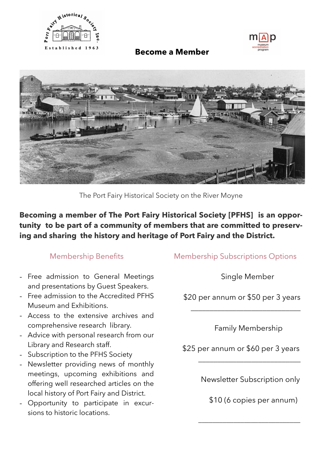



### **Become a Member**



The Port Fairy Historical Society on the River Moyne

**Becoming a member of The Port Fairy Historical Society [PFHS] is an opportunity to be part of a community of members that are committed to preserving and sharing the history and heritage of Port Fairy and the District.**

### Membership Benefits

- Free admission to General Meetings and presentations by Guest Speakers.
- Free admission to the Accredited PFHS Museum and Exhibitions.
- Access to the extensive archives and comprehensive research library.
- Advice with personal research from our Library and Research staff.
- Subscription to the PFHS Society
- Newsletter providing news of monthly meetings, upcoming exhibitions and offering well researched articles on the local history of Port Fairy and District.
- Opportunity to participate in excursions to historic locations.

## Membership Subscriptions Options

Single Member

\$20 per annum or \$50 per 3 years

 $\frac{1}{\sqrt{2}}$  ,  $\frac{1}{\sqrt{2}}$  ,  $\frac{1}{\sqrt{2}}$  ,  $\frac{1}{\sqrt{2}}$  ,  $\frac{1}{\sqrt{2}}$  ,  $\frac{1}{\sqrt{2}}$  ,  $\frac{1}{\sqrt{2}}$  ,  $\frac{1}{\sqrt{2}}$  ,  $\frac{1}{\sqrt{2}}$  ,  $\frac{1}{\sqrt{2}}$  ,  $\frac{1}{\sqrt{2}}$  ,  $\frac{1}{\sqrt{2}}$  ,  $\frac{1}{\sqrt{2}}$  ,  $\frac{1}{\sqrt{2}}$  ,  $\frac{1}{\sqrt{2}}$ 

Family Membership

\$25 per annum or \$60 per 3 years

 $\mathcal{L}=\{1,2,3,4,5\}$ 

 $\frac{1}{2}$  ,  $\frac{1}{2}$  ,  $\frac{1}{2}$  ,  $\frac{1}{2}$  ,  $\frac{1}{2}$  ,  $\frac{1}{2}$  ,  $\frac{1}{2}$  ,  $\frac{1}{2}$  ,  $\frac{1}{2}$  ,  $\frac{1}{2}$  ,  $\frac{1}{2}$  ,  $\frac{1}{2}$  ,  $\frac{1}{2}$  ,  $\frac{1}{2}$  ,  $\frac{1}{2}$  ,  $\frac{1}{2}$  ,  $\frac{1}{2}$  ,  $\frac{1}{2}$  ,  $\frac{1$ 

Newsletter Subscription only

\$10 (6 copies per annum)